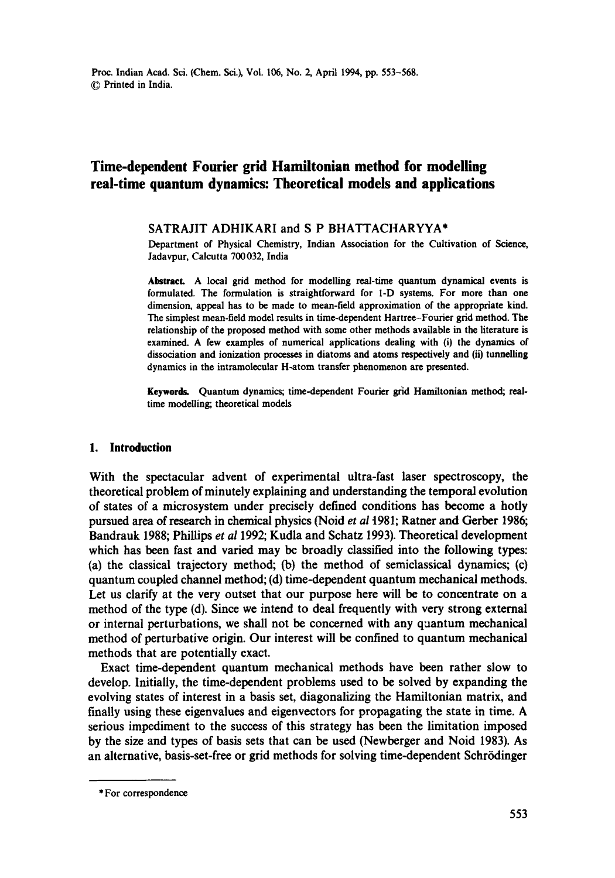# **Time-dependent Fourier grid Hamiitonian method for modelling real-time quantum dynamics: Theoretical models and applications**

#### SATRAJIT ADHIKARI and S P BHATTACHARYYA\*

Department of Physical Chemistry, Indian Association for the Cultivation of Science, Jadavpur, Calcutta 700 032, India

**Abstract.** A local grid method for modelling real-time quantum dynamical events is formulated. The formulation is straightforward for I-D systems. For more than one dimension, appeal has to be made to mean-field approximation of the appropriate kind. The simplest mean-field model results in time-dependent Hartree-Fourier grid method. The relationship of the proposed method with some other methods available in the literature is examined. A few examples of numerical applications dealing with (i) the dynamics of dissociation and ionization processes in diatoms and atoms respectively and (ii) tunnelling dynamics in the intramolecular H-atom transfer phenomenon are presented.

Keywords. Quantum dynamics; time-dependent Fourier grid Hamiltonian method; realtime modelling; theoretical models

### **1. Introduction**

With the spectacular advent of experimental ultra-fast laser spectroscopy, the theoretical problem of minutely explaining and understanding the temporal evolution of states of a microsystem under precisely defined conditions has become a hotly pursued area of research in chemical physics (Noid *et al* 1981; Rather and Gerber 1986; Bandrauk 1988; Phillips *et al* 1992; Kudla and Schatz 1993). Theoretical development which has been fast and varied may be broadly classified into the following types: (a) the classical trajectory method; (b) the method of semiclassical dynamics; (c) quantum coupled channel method; (d) time-dependent quantum mechanical methods. Let us clarify at the very outset that our purpose here will be to concentrate on a method of the type (d). Since we intend to deal frequently with very strong external or internal perturbations, we shall not be concerned with any quantum mechanical method of perturbative origin. Our interest will be confined to quantum mechanical methods that are potentially exact.

Exact time-dependent quantum mechanical methods have been rather slow to develop. Initially, the time-dependent problems used to be solved by expanding the evolving states of interest in a basis set, diagonalizing the Hamiltonian matrix, and finally using these eigenvalues and eigenvectors for propagating the state in time. A serious impediment to the success of this strategy has been the limitation imposed by the size and types of basis sets that can be used (Newberger and Noid 1983). As an alternative, basis-set-free or grid methods for solving time-dependent Schrödinger

<sup>\*</sup> For correspondence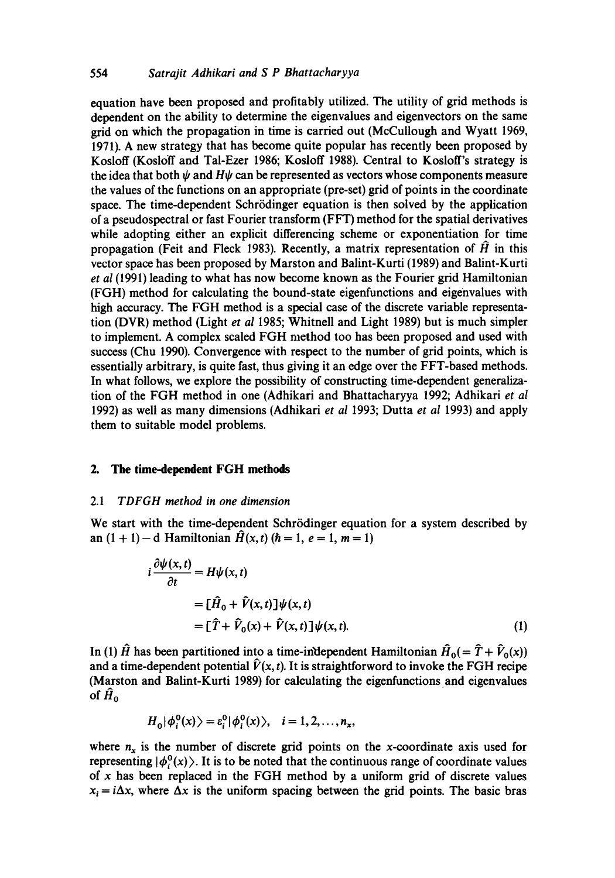### 554 *Satrajit Adhikari and S P Bhattacharyya*

equation have been proposed and profitably utilized. The utility of grid methods is dependent on the ability to determine the eigenvalues and eigenvectors on the same grid on which the propagation in time is carried out (McCullough and Wyatt 1969, 1971). A new strategy that has become quite popular has recently been proposed by Kosloff (Kosloff and Tal-Ezer 1986; Kosloff 1988). Central to Kosloff's strategy is the idea that both  $\psi$  and  $H\psi$  can be represented as vectors whose components measure the values of the functions on an appropriate (pre-set) grid of points in the coordinate space. The time-dependent Schrödinger equation is then solved by the application of a pseudospectral or fast Fourier transform (FFT) method for the spatial derivatives while adopting either an explicit differencing scheme or exponentiation for time propagation (Feit and Fleck 1983). Recently, a matrix representation of  $\hat{H}$  in this vector space has been proposed by Marston and Balint-Kurti (1989) and Balint-Kurti *et al* (1991) leading to what has now become known as the Fourier grid Hamiltonian (FGH) method for calculating the bound-state eigenfunctions and eigenvalues with high accuracy. The FGH method is a special case of the discrete variable representation (DVR) method (Light *et al* 1985; Whitnell and Light 1989) but is much simpler to implement. A complex scaled FGH method too has been proposed and used with success (Chu 1990). Convergence with respect to the number of grid points, which is essentially arbitrary, is quite fast, thus giving it an edge over the FFT-based methods. In what follows, we explore the possibility of constructing time-dependent generalization of the FGH method in one (Adhikari and Bhattacharyya 1992; Adhikari *et al*  1992) as well as many dimensions (Adhikari *et al* 1993; Dutta *et al* 1993) and apply them to suitable model problems.

#### **2. The time-dependent FGH methods**

#### *2.1 TDFGH method in one dimension*

We start with the time-dependent Schrödinger equation for a system described by an  $(1 + 1) - d$  Hamiltonian  $\hat{H}(x, t)$   $(h = 1, e = 1, m = 1)$ 

$$
i\frac{\partial \psi(x,t)}{\partial t} = H\psi(x,t)
$$
  
= 
$$
[\hat{H}_0 + \hat{V}(x,t)]\psi(x,t)
$$
  
= 
$$
[\hat{T} + \hat{V}_0(x) + \hat{V}(x,t)]\psi(x,t).
$$
 (1)

In (1)  $\hat{H}$  has been partitioned into a time-independent Hamiltonian  $\hat{H}_0(=\hat{T} + \hat{V}_0(x))$ and a time-dependent potential  $\hat{V}(x, t)$ . It is straightforword to invoke the FGH recipe (Marston and Balint-Kurti 1989) for calculating the eigenfunctions and eigenvalues of  $\hat{H}_0$ 

$$
H_0|\phi_i^0(x)\rangle=\varepsilon_i^0|\phi_i^0(x)\rangle, \quad i=1,2,\ldots,n_x,
$$

where  $n_x$  is the number of discrete grid points on the x-coordinate axis used for representing  $|\phi_1^0(x)\rangle$ . It is to be noted that the continuous range of coordinate values of  $x$  has been replaced in the FGH method by a uniform grid of discrete values  $x_i = i\Delta x$ , where  $\Delta x$  is the uniform spacing between the grid points. The basic bras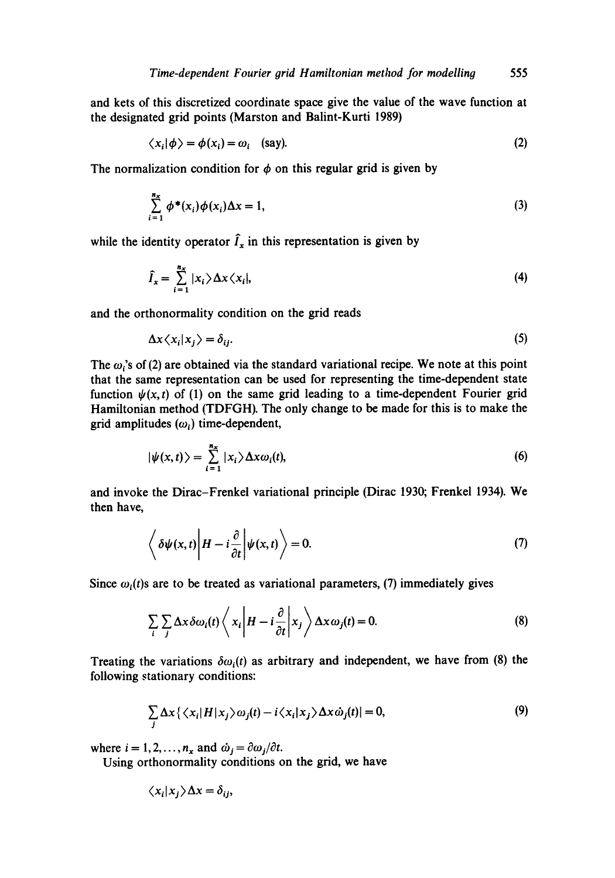and kets of this discretized coordinate space give the value of the wave function at the designated grid points (Marston and Balint-Kurti 1989)

$$
\langle x_i | \phi \rangle = \phi(x_i) = \omega_i \quad \text{(say)}.
$$
 (2)

The normalization condition for  $\phi$  on this regular grid is given by

$$
\sum_{i=1}^{n_x} \phi^*(x_i) \phi(x_i) \Delta x = 1,
$$
\n(3)

while the identity operator  $\hat{I}_x$  in this representation is given by

$$
\hat{I}_x = \sum_{i=1}^{n_x} |x_i\rangle \Delta x \langle x_i|,\tag{4}
$$

and the orthonormality condition on the grid reads

$$
\Delta x \langle x_i | x_j \rangle = \delta_{ij}.\tag{5}
$$

The  $\omega$ 's of (2) are obtained via the standard variational recipe. We note at this point that the same representation can be used for representing the time-dependent state function  $\psi(x, t)$  of (1) on the same grid leading to a time-dependent Fourier grid Hamiltonian method (TDFGH). The only change to be made for this is to make the grid amplitudes  $(\omega_i)$  time-dependent,

$$
|\psi(x,t)\rangle = \sum_{i=1}^{n_x} |x_i\rangle \Delta x \omega_i(t),
$$
 (6)

and invoke the Dirac-Frenkel variational principle (Dirac 1930; Frenkel 1934). We then have,

$$
\left\langle \delta \psi(x,t) \middle| H - i \frac{\partial}{\partial t} \middle| \psi(x,t) \right\rangle = 0. \tag{7}
$$

Since  $\omega_i(t)$  are to be treated as variational parameters, (7) immediately gives

$$
\sum_{i} \sum_{j} \Delta x \delta \omega_{i}(t) \left\langle x_{i} \left| H - i \frac{\partial}{\partial t} \right| x_{j} \right\rangle \Delta x \omega_{j}(t) = 0. \tag{8}
$$

Treating the variations  $\delta \omega_i(t)$  as arbitrary and independent, we have from (8) the following stationary conditions:

$$
\sum_{j} \Delta x \{ \langle x_i | H | x_j \rangle \omega_j(t) - i \langle x_i | x_j \rangle \Delta x \dot{\omega}_j(t) | = 0, \tag{9}
$$

where  $i = 1, 2, ..., n_x$  and  $\dot{\omega}_i = \partial \omega_i / \partial t$ .

Using orthonormality conditions on the grid, we have

$$
\langle x_i | x_j \rangle \Delta x = \delta_{ij},
$$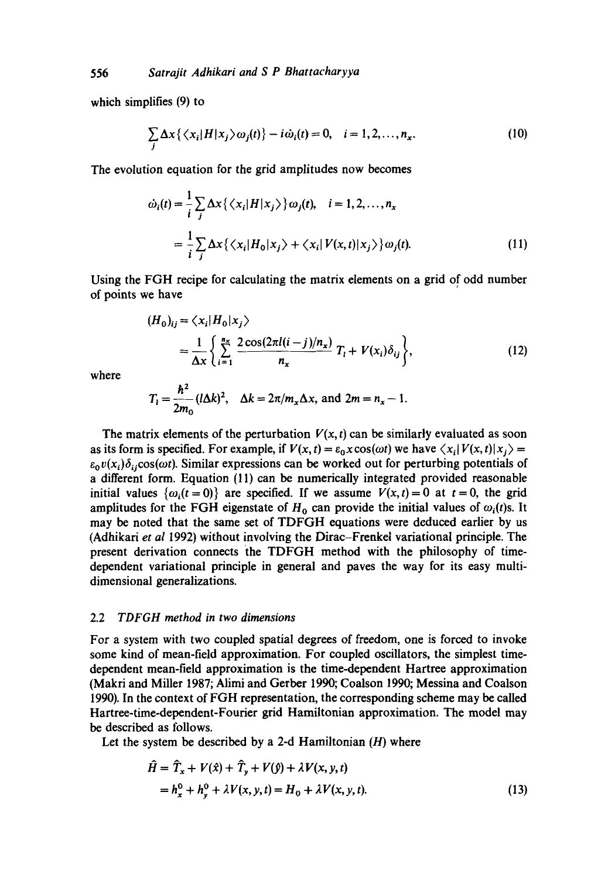which simplifies (9) to

$$
\sum_{j} \Delta x \left\{ \left\langle x_{i} | H | x_{j} \right\rangle \omega_{j}(t) \right\} - i \dot{\omega}_{i}(t) = 0, \quad i = 1, 2, ..., n_{x}.
$$
 (10)

The evolution equation for the grid amplitudes now becomes

$$
\dot{\omega}_i(t) = \frac{1}{i} \sum_j \Delta x \left\{ \left\langle x_i | H | x_j \right\rangle \right\} \omega_j(t), \quad i = 1, 2, ..., n_x
$$

$$
= \frac{1}{i} \sum_j \Delta x \left\{ \left\langle x_i | H_0 | x_j \right\rangle + \left\langle x_i | V(x, t) | x_j \right\rangle \right\} \omega_j(t). \tag{11}
$$

Using the FGH recipe for calculating the matrix elements on a grid of odd number of points we have

$$
(H_0)_{ij} = \langle x_i | H_0 | x_j \rangle
$$
  
= 
$$
\frac{1}{\Delta x} \left\{ \sum_{i=1}^{n_x} \frac{2 \cos(2\pi l(i-j)/n_x)}{n_x} T_i + V(x_i) \delta_{ij} \right\},
$$
 (12)

where

$$
T_1 = \frac{\hbar^2}{2m_0} (l\Delta k)^2, \quad \Delta k = 2\pi/m_x \Delta x, \text{ and } 2m = n_x - 1.
$$

The matrix elements of the perturbation  $V(x, t)$  can be similarly evaluated as soon as its form is specified. For example, if  $V(x, t) = \varepsilon_0 x \cos(\omega t)$  we have  $\langle x_i | V(x, t) | x_i \rangle =$  $\varepsilon_0 v(x_i) \delta_{ii} \cos(\omega t)$ . Similar expressions can be worked out for perturbing potentials of a different form. Equation (11) can be numerically integrated provided reasonable initial values  $\{\omega_i(t=0)\}\$  are specified. If we assume  $V(x,t)=0$  at  $t=0$ , the grid amplitudes for the FGH eigenstate of  $H_0$  can provide the initial values of  $\omega_i(t)$ s. It may be noted that the same set of TDFGH equations were deduced earlier by us (Adhikari *et al* 1992) without involving the Dirac-Frenkel variational principle. The present derivation connects the TDFGH method with the philosophy of timedependent variational principle in general and paves the way for its easy multidimensional generalizations.

### 2.2 *TDFGH method in two dimensions*

For a system with two coupled spatial degrees of freedom, one is forced to invoke some kind of mean-field approximation. For coupled oscillators, the simplest timedependent mean-field approximation is the time-dependent Hartree approximation (Makri and Miller 1987; Alimi and Gerber 1990; Coalson 1990; Messina and Coalson 1990). In the context of FGH representation, the corresponding scheme may be called Hartree-time-dependent-Fourier grid Hamiltonian approximation. The model may be described as follows.

Let the system be described by a 2-d Hamiltonian  $(H)$  where

$$
\hat{H} = \hat{T}_x + V(\hat{x}) + \hat{T}_y + V(\hat{y}) + \lambda V(x, y, t) \n= h_x^0 + h_y^0 + \lambda V(x, y, t) = H_0 + \lambda V(x, y, t).
$$
\n(13)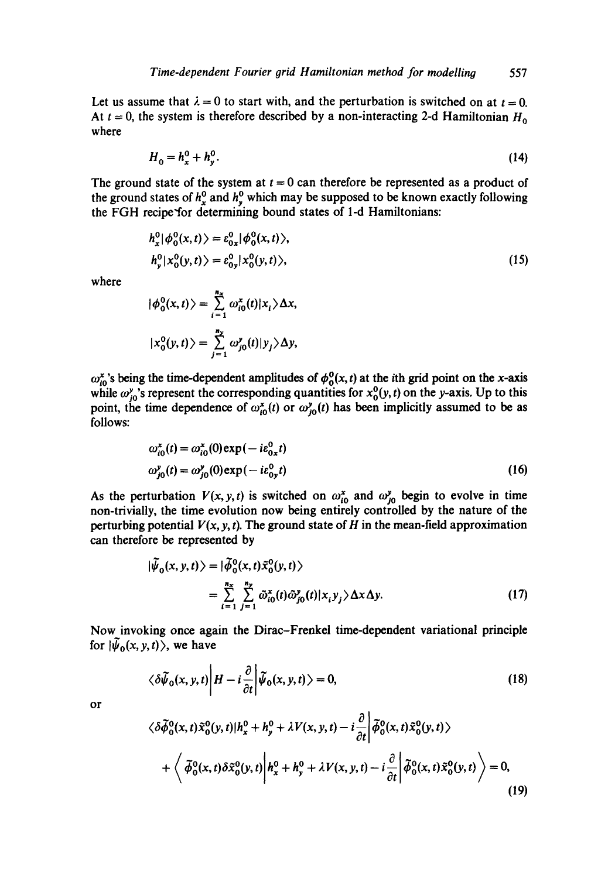Let us assume that  $\lambda = 0$  to start with, and the perturbation is switched on at  $t = 0$ . At  $t = 0$ , the system is therefore described by a non-interacting 2-d Hamiltonian  $H_0$ where

$$
H_0 = h_x^0 + h_y^0. \tag{14}
$$

The ground state of the system at  $t = 0$  can therefore be represented as a product of the ground states of  $h_x^0$  and  $h_y^0$  which may be supposed to be known exactly following the FGH recipe'for determining bound states of 1-d Hamiltonians:

$$
h_x^0|\phi_0^0(x,t)\rangle = \varepsilon_{0x}^0|\phi_0^0(x,t)\rangle,
$$
  
\n
$$
h_y^0|x_0^0(y,t)\rangle = \varepsilon_{0y}^0|x_0^0(y,t)\rangle,
$$
\n(15)

where

$$
|\phi_0^0(x,t)\rangle = \sum_{i=1}^{n_x} \omega_{i0}^x(t)|x_i\rangle \Delta x,
$$
  

$$
|x_0^0(y,t)\rangle = \sum_{j=1}^{n_y} \omega_{j0}^y(t)|y_j\rangle \Delta y,
$$

 $\omega_{i0}^x$ 's being the time-dependent amplitudes of  $\phi_0^y(x, t)$  at the ith grid point on the x-axis while  $\omega_{i0}^{\nu}$ 's represent the corresponding quantities for  $x_0^{\nu}(y, t)$  on the y-axis. Up to this point, the time dependence of  $\omega_{i0}^x(t)$  or  $\omega_{i0}^y(t)$  has been implicitly assumed to be as follows:

$$
\omega_{i0}^{x}(t) = \omega_{i0}^{x}(0) \exp(-ie_{0x}^{0}t)
$$
  
\n
$$
\omega_{j0}^{y}(t) = \omega_{j0}^{y}(0) \exp(-ie_{0y}^{0}t)
$$
\n(16)

As the perturbation  $V(x, y, t)$  is switched on  $\omega_{i0}^x$  and  $\omega_{j0}^y$  begin to evolve in time non-trivially, the time evolution now being entirely controlled by the nature of the perturbing potential  $V(x, y, t)$ . The ground state of H in the mean-field approximation can therefore be represented by

$$
|\tilde{\psi}_0(x, y, t)\rangle = |\tilde{\phi}_0^0(x, t)\tilde{x}_0^0(y, t)\rangle
$$
  
= 
$$
\sum_{i=1}^{n_x} \sum_{j=1}^{n_y} \tilde{\omega}_{i0}^x(t)\tilde{\omega}_{j0}^y(t)|x_i y_j\rangle \Delta x \Delta y.
$$
 (17)

Now invoking once again the Dirac-Frenkel time-dependent variational principle for  $|\bar{\psi}_0(x, y, t)\rangle$ , we have

$$
\langle \delta \widetilde{\psi}_0(x, y, t) \middle| H - i \frac{\partial}{\partial t} \middle| \widetilde{\psi}_0(x, y, t) \rangle = 0,
$$
\n(18)

$$
\mathsf{or}\quad
$$

$$
\langle \delta \tilde{\phi}_0^0(x,t) \tilde{x}_0^0(y,t) | h_x^0 + h_y^0 + \lambda V(x,y,t) - i \frac{\partial}{\partial t} \left| \tilde{\phi}_0^0(x,t) \tilde{x}_0^0(y,t) \right\rangle + \left\langle \tilde{\phi}_0^0(x,t) \delta \tilde{x}_0^0(y,t) \left| h_x^0 + h_y^0 + \lambda V(x,y,t) - i \frac{\partial}{\partial t} \right| \tilde{\phi}_0^0(x,t) \tilde{x}_0^0(y,t) \right\rangle = 0,
$$
\n(19)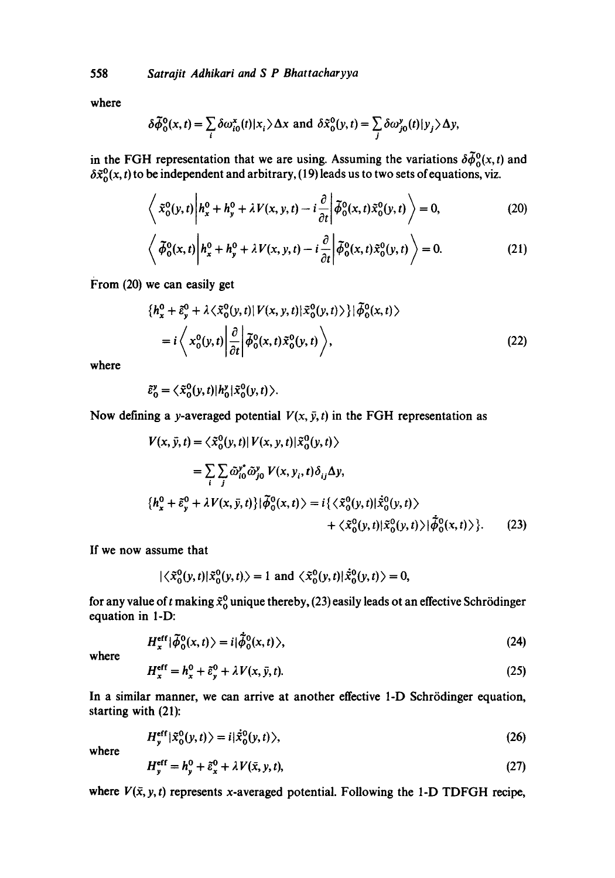558 *Satrajit Adhikari and S P Bhattacharyya* 

where

$$
\delta \widetilde{\phi}_0^0(x,t) = \sum_i \delta \omega_{i0}^x(t) |x_i\rangle \Delta x \text{ and } \delta \widetilde{x}_0^0(y,t) = \sum_j \delta \omega_{j0}^y(t) |y_j\rangle \Delta y,
$$

in the FGH representation that we are using. Assuming the variations  $\delta\phi_0^0(x,t)$  and  $\delta\tilde{x}_0(x,t)$  to be independent and arbitrary, (19) leads us to two sets of equations, viz.

$$
\left\langle \tilde{x}_0^0(y,t) \middle| h_x^0 + h_y^0 + \lambda V(x,y,t) - i \frac{\partial}{\partial t} \middle| \tilde{\phi}_0^0(x,t) \tilde{x}_0^0(y,t) \right\rangle = 0, \tag{20}
$$

$$
\left\langle \tilde{\phi}_0^0(x,t) \middle| h_x^0 + h_y^0 + \lambda V(x,y,t) - i \frac{\partial}{\partial t} \middle| \tilde{\phi}_0^0(x,t) \tilde{x}_0^0(y,t) \right\rangle = 0. \tag{21}
$$

From (20) we can easily get

$$
\begin{aligned} \n\{h_x^0 + \tilde{\varepsilon}_y^0 + \lambda \langle \tilde{x}_0^0(y, t) | V(x, y, t) | \tilde{x}_0^0(y, t) \rangle \} | \tilde{\phi}_0^0(x, t) \rangle \\
&= i \left\langle x_0^0(y, t) \left| \frac{\partial}{\partial t} \right| \tilde{\phi}_0^0(x, t) \tilde{x}_0^0(y, t) \right\rangle, \n\end{aligned} \tag{22}
$$

where

$$
\tilde{\varepsilon}_0^y = \langle \tilde{\mathbf{x}}_0^0(y,t) | h_0^y | \tilde{\mathbf{x}}_0^0(y,t) \rangle.
$$

Now defining a y-averaged potential  $V(x, \bar{y}, t)$  in the FGH representation as

$$
V(x, \bar{y}, t) = \langle \tilde{x}_0^0(y, t) | V(x, y, t) | \tilde{x}_0^0(y, t) \rangle
$$
  
\n
$$
= \sum_i \sum_j \tilde{\omega}_{i0}^y \tilde{\omega}_{j0}^y V(x, y_i, t) \delta_{ij} \Delta y,
$$
  
\n
$$
\{h_x^0 + \tilde{\varepsilon}_y^0 + \lambda V(x, \bar{y}, t)\} | \tilde{\phi}_0^0(x, t) \rangle = i \{ \langle \tilde{x}_0^0(y, t) | \dot{\tilde{x}}_0^0(y, t) \rangle
$$
  
\n
$$
+ \langle \tilde{x}_0^0(y, t) | \tilde{x}_0^0(y, t) \rangle | \tilde{\phi}_0^0(x, t) \rangle \}.
$$
 (23)

If we now assume that

$$
|\langle \tilde{x}_0^0(y,t)|\tilde{x}_0^0(y,t)\rangle = 1 \text{ and } \langle \tilde{x}_0^0(y,t)|\dot{\tilde{x}}_0^0(y,t)\rangle = 0,
$$

for any value of t making  $\tilde{x}_0^0$  unique thereby, (23) easily leads ot an effective Schrödinger equation in **l-D:** 

$$
H_x^{\text{eff}}|\tilde{\phi}_0^0(x,t)\rangle = i|\dot{\tilde{\phi}}_0^0(x,t)\rangle, \tag{24}
$$

where

$$
H_x^{\text{eff}} = h_x^0 + \tilde{\varepsilon}_y^0 + \lambda V(x, \bar{y}, t). \tag{25}
$$

In a similar manner, we can arrive at another effective 1-D Schrödinger equation, starting with **(21):** 

$$
H_{\mathbf{v}}^{\mathrm{eff}}|\tilde{\mathbf{x}}_{0}^{0}(y,t)\rangle=i|\dot{\tilde{\mathbf{x}}}_{0}^{0}(y,t)\rangle,
$$
\n(26)

where

$$
H_y^{\text{eff}} = h_y^0 + \tilde{\varepsilon}_x^0 + \lambda V(\bar{x}, y, t), \tag{27}
$$

where  $V(\bar{x}, y, t)$  represents x-averaged potential. Following the 1-D TDFGH recipe,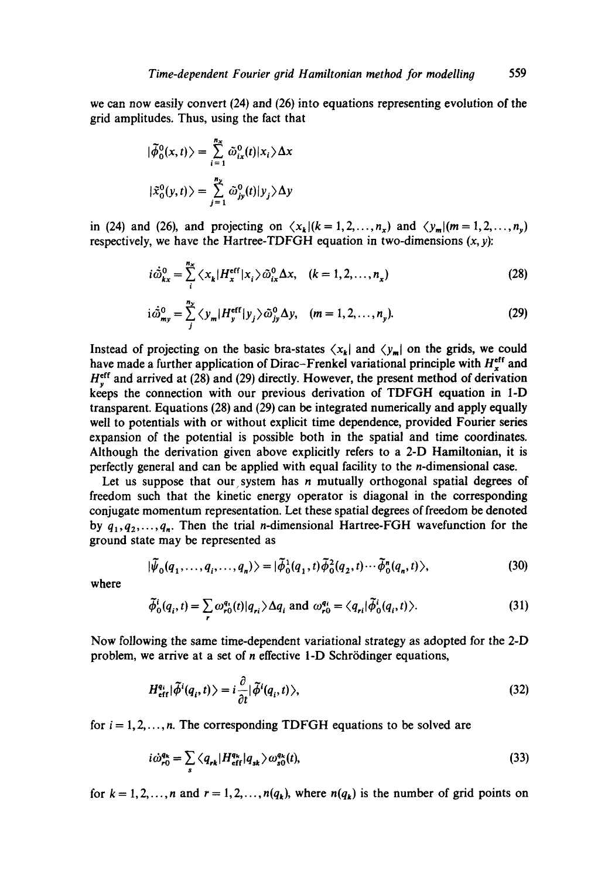we can now easily convert (24) and (26) into equations representing evolution of the grid amplitudes. Thus, using the fact that

$$
|\tilde{\phi}_0^0(x,t)\rangle = \sum_{i=1}^{n_x} \tilde{\omega}_{ix}^0(t)|x_i\rangle \Delta x
$$
  

$$
|\tilde{x}_0^0(y,t)\rangle = \sum_{j=1}^{n_y} \tilde{\omega}_{jy}^0(t)|y_j\rangle \Delta y
$$

in (24) and (26), and projecting on  $\langle x_k|(k=1,2,\ldots,n_x)$  and  $\langle y_m|(m=1,2,\ldots,n_y)$ respectively, we have the Hartree-TDFGH equation in two-dimensions  $(x, y)$ :

$$
i\dot{\tilde{\omega}}_{kx}^{0} = \sum_{i}^{n_{x}} \langle x_{k} | H_{x}^{\text{eff}} | x_{i} \rangle \tilde{\omega}_{ix}^{0} \Delta x, \quad (k = 1, 2, ..., n_{x})
$$
\n(28)

$$
i\dot{\tilde{\omega}}_{m_y}^0 = \sum_{j}^{n_y} \langle y_m | H_y^{\text{eff}} | y_j \rangle \tilde{\omega}_{jy}^0 \Delta y, \quad (m = 1, 2, \dots, n_y). \tag{29}
$$

Instead of projecting on the basic bra-states  $\langle x_k |$  and  $\langle y_m |$  on the grids, we could have made a further application of Dirac-Frenkel variational principle with  $H^{eff}_{r}$  and  $H_v^{\text{eff}}$  and arrived at (28) and (29) directly. However, the present method of derivation keeps the connection with our previous derivation of TDFGH equation in I-D transparent. Equations (28) and (29) can be integrated numerically and apply equally well to potentials with or without explicit time dependence, provided Fourier series expansion of the potential is possible both in the spatial and time coordinates. Although the derivation given above explicitly refers to a 2-D Hamiltonian, it is perfectly general and can be applied with equal facility to the n-dimensional case.

Let us suppose that our system has  $n$  mutually orthogonal spatial degrees of freedom such that the kinetic energy operator is diagonal in the corresponding conjugate momentum representation. Let these spatial degrees of freedom be denoted by  $q_1, q_2, \ldots, q_n$ . Then the trial *n*-dimensional Hartree-FGH wavefunction for the ground state may be represented as

$$
|\tilde{\psi}_0(q_1,\ldots,q_i,\ldots,q_n)\rangle = |\tilde{\phi}_0^1(q_1,t)\tilde{\phi}_0^2(q_2,t)\cdots\tilde{\phi}_0^n(q_n,t)\rangle, \tag{30}
$$

where

$$
\tilde{\phi}_0^i(q_i, t) = \sum_r \omega_{r0}^{q_i}(t) |q_{ri}\rangle \Delta q_i \text{ and } \omega_{r0}^{q_i} = \langle q_{ri} | \tilde{\phi}_0^i(q_i, t) \rangle. \tag{31}
$$

Now following the same time-dependent variational strategy as adopted for the 2-D problem, we arrive at a set of  $n$  effective 1-D Schrödinger equations,

$$
H_{\text{eff}}^{q_i}|\tilde{\phi}^i(q_i, t)\rangle = i\frac{\partial}{\partial t}|\tilde{\phi}^i(q_i, t)\rangle,\tag{32}
$$

for  $i = 1, 2, \ldots, n$ . The corresponding TDFGH equations to be solved are

$$
i\dot{\omega}_{r0}^{q_k} = \sum_s \langle q_{rk} | H_{\text{eff}}^{q_k} | q_{sk} \rangle \omega_{s0}^{q_k}(t), \tag{33}
$$

for  $k = 1, 2, ..., n$  and  $r = 1, 2, ..., n(q_k)$ , where  $n(q_k)$  is the number of grid points on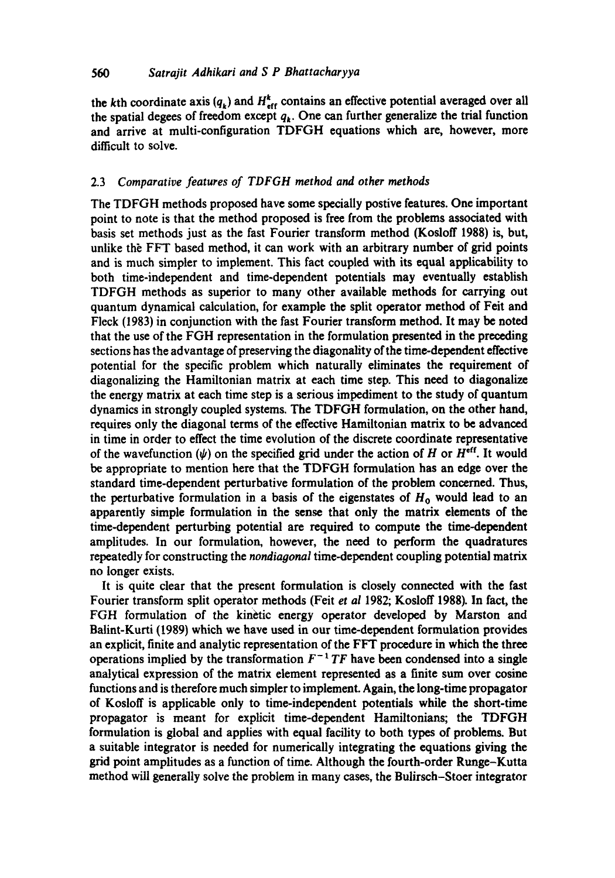### *560 Satrajit Adhikari and S P Bhattacharyya*

the kth coordinate axis  $(q_k)$  and  $H_{\text{eff}}^k$  contains an effective potential averaged over all the spatial degees of freedom except  $q<sub>k</sub>$ . One can further generalize the trial function and arrive at multi-configuration TDFGH equations which arc, however, more difficult to solve.

### 2.3 *Comparative features of TDFGH method and other methods*

The TDFGH methods proposed have some specially postive features. One important point to note is that the method proposed is free from the problems associated with basis set methods just as the fast Fourier transform method (Kosloff 1988) is, but, unlike the FFT based method, it can work with an arbitrary number of grid points and is much simpler to implement. This fact coupled with its equal applicability to both time-independent and time-dependent potentials may eventually establish TDFGH methods as superior to many other available methods for carrying out quantum dynamical calculation, for example the split operator method of Feit and Fleck (1983) in conjunction with the fast Fourier transform method. It may be noted that the use of the FGH representation in the formulation presented in the preceding sections has the advantage of preserving the diagonality of the time-dependent effective potential for the specific problem which naturally eliminates the requirement of diagonalizing the Hamiltonian matrix at each time step. This need to diagonalize the energy matrix at each time step is a serious impediment to the study of quantum dynamics in strongly coupled systems. The TDFGH formulation, on the other hand, requires only the diagonal terms of the effective Hamiltonian matrix to be advanced in time in order to effect the time evolution of the discrete coordinate representative of the wavefunction  $(\psi)$  on the specified grid under the action of H or  $H^{\text{eff}}$ . It would be appropriate to mention here that the TDFGH formulation has an edge over the standard time-dependent perturbative formulation of the problem concerned. Thus, the perturbative formulation in a basis of the eigenstates of  $H_0$  would lead to an apparently simple formulation in the sense that only the matrix elements of the time-dependent perturbing potential are required to compute the time-dependent amplitudes. In our formulation, however, the need to perform the quadratures repeatedly for constructing the *nondiagonal* time-dependent coupling potential matrix no longer exists.

It is quite clear that the present formulation is closely connected with the fast Fourier transform split operator methods (Feit *et al* 1982; Kosloff 1988). In fact, the FGH formulation of the kinetic energy operator developed by Marston and Balint-Kurti (1989) which we have used in our time-dependent formulation provides an explicit, finite and analytic representation of the FFT procedure in which the three operations implied by the transformation  $F^{-1}TF$  have been condensed into a single analytical expression of the matrix element represented as a finite sum over cosine functions and is therefore much simpler to implement. Again, the long-time propagator of Kosloff is applicable only to time-independent potentials while the short-time propagator is meant for explicit time-dependent Hamiltonians; the TDFGH formulation is global and applies with equal facility to both types of problems. But a suitable integrator is needed for numerically integrating the equations giving the grid point amplitudes as a function of time. Although the fourth-order Runge-Kutta method will generally solve the problem in many cases, the Bulirsch-Stoer integrator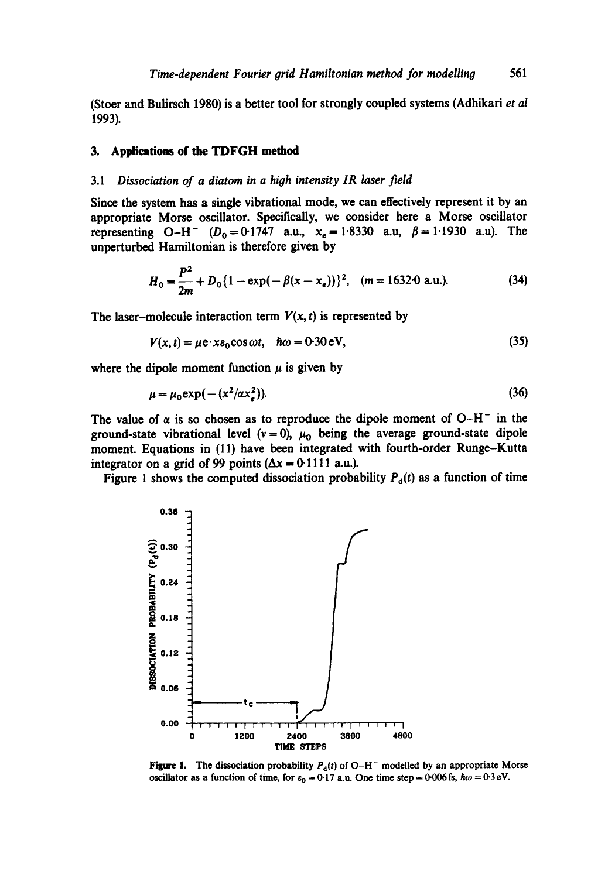(Stoer and Bulirsch 1980) is a better tool for strongly coupled systems (Adhikari *et al*  1993).

#### **3. Applications of the TDFGH method**

## 3.1 *Dissociation of a diatom in a high intensity IR laser field*

Since the system has a single vibrational mode, we can effectively represent it by an appropriate Morse oscillator. Specifically, we consider here a Morse oscillator representing O-H<sup>-</sup> ( $D_0 = 0.1747$  a.u.,  $x_e = 1.8330$  a.u,  $\beta = 1.1930$  a.u). The unperturbed Hamiltonian is therefore given by

$$
H_0 = \frac{P^2}{2m} + D_0 \{1 - \exp(-\beta(x - x_e))\}^2, \quad (m = 1632.0 \text{ a.u.}).
$$
 (34)

The laser-molecule interaction term  $V(x, t)$  is represented by

$$
V(x, t) = \mu e \cdot x \varepsilon_0 \cos \omega t, \quad \hbar \omega = 0.30 \text{ eV}, \tag{35}
$$

where the dipole moment function  $\mu$  is given by

$$
\mu = \mu_0 \exp(-(x^2/\alpha x_s^2)).
$$
\n(36)

The value of  $\alpha$  is so chosen as to reproduce the dipole moment of O-H<sup>-</sup> in the ground-state vibrational level ( $v = 0$ ),  $\mu_0$  being the average ground-state dipole moment. Equations in (11) have been integrated with fourth-order Runge-Kutta integrator on a grid of 99 points ( $\Delta x = 0.1111$  a.u.).

Figure 1 shows the computed dissociation probability  $P_d(t)$  as a function of time



Figure 1. The dissociation probability  $P_d(t)$  of O-H<sup>-</sup> modelled by an appropriate Morse oscillator as a function of time, for  $\varepsilon_0 = 0.17$  a.u. One time step = 0.006 fs,  $\hbar \omega = 0.3 \text{ eV}$ .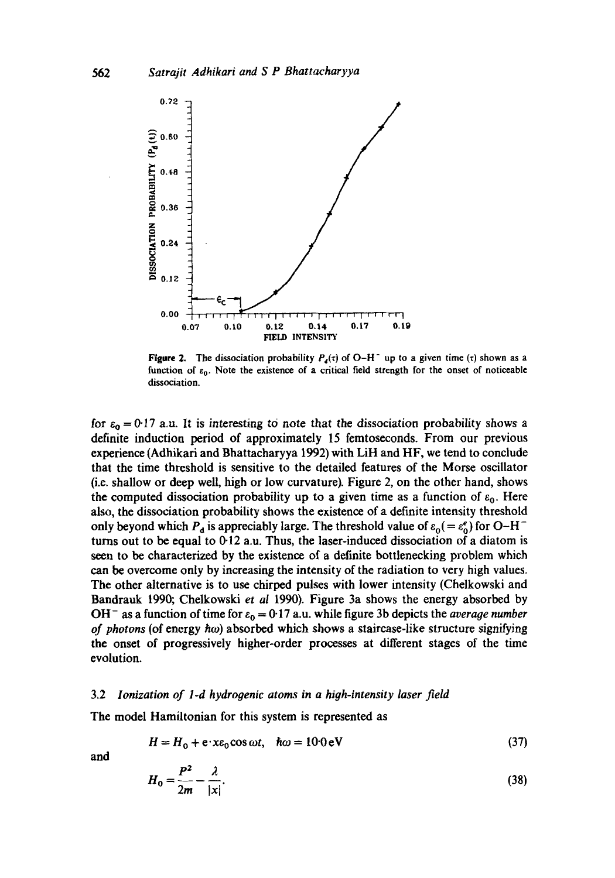

**Figure 2.** The dissociation probability  $P_a(\tau)$  of O-H<sup>-</sup> up to a given time ( $\tau$ ) shown as a function of  $\varepsilon_0$ . Note the existence of a critical field strength for the onset of noticeable dissociation.

for  $\varepsilon_0 = 0.17$  a.u. It is interesting to note that the dissociation probability shows a definite induction period of approximately 15 femtoseconds. From our previous experience (Adhikari and Bhattacharyya 1992) with LiH and HF, we tend to conclude that the time threshold is sensitive to the detailed features of the Morse oscillator (i.e. shallow or deep well, high or low curvature). Figure 2, on the other hand, shows the computed dissociation probability up to a given time as a function of  $\varepsilon_0$ . Here also, the dissociation probability shows the existence of a definite intensity threshold only beyond which  $P_d$  is appreciably large. The threshold value of  $\varepsilon_0 (= \varepsilon_0^e)$  for O-H<sup>-</sup> turns out to be equal to  $0.12$  a.u. Thus, the laser-induced dissociation of a diatom is seen to be characterized by the existence of a definite bottlenecking problem which can be overcome only by increasing the intensity of the radiation to very high values. The other alternative is to use chirped pulses with lower intensity (Chelkowski and Bandrauk 1990; Chelkowski *et al* 1990). Figure 3a shows the energy absorbed by OH<sup>-</sup> as a function of time for  $\varepsilon_0 = 0.17$  a.u. while figure 3b depicts the *average number of photons* (of energy  $\hbar \omega$ ) absorbed which shows a staircase-like structure signifying the onset of progressively higher-order processes at different stages of the time evolution.

#### 3.2 *Ionization of l-d hydrogenic atoms in a high-intensity laser field*

The model Hamiltonian for this system is represented as

$$
H = H_0 + e \cdot x \varepsilon_0 \cos \omega t, \quad \hbar \omega = 10.0 \text{ eV}
$$
 (37)

and

$$
H_0 = \frac{P^2}{2m} - \frac{\lambda}{|x|}.\tag{38}
$$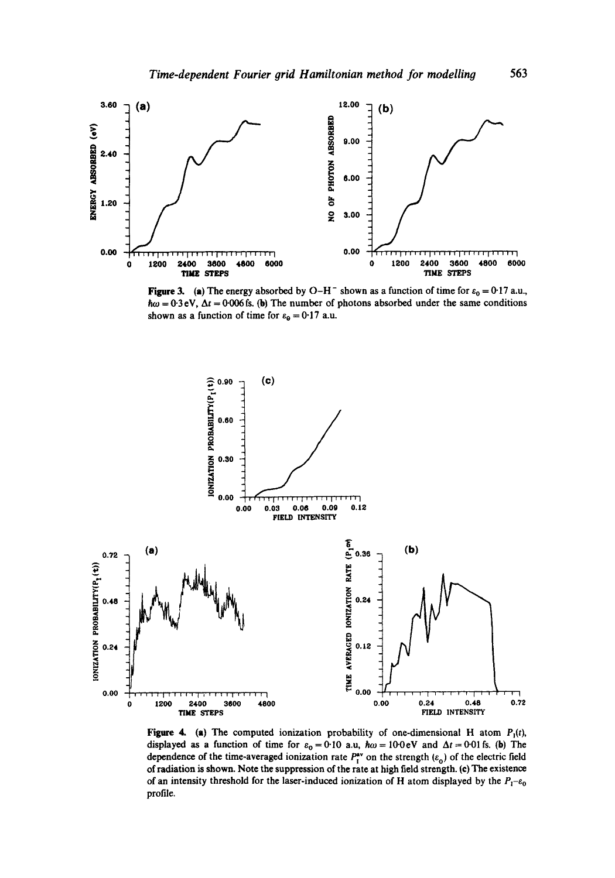

Figure 3. (a) The energy absorbed by O-H<sup>-</sup> shown as a function of time for  $\varepsilon_0 = 0.17$  a.u.,  $\hbar \omega = 0.3$  eV,  $\Delta t = 0.006$  fs. (b) The number of photons absorbed under the same conditions shown as a function of time for  $\varepsilon_{\theta} = 0.17$  a.u.



Figure 4. (a) The computed ionization probability of one-dimensional H atom  $P_1(t)$ , displayed as a function of time for  $\varepsilon_0 = 0.10$  a.u,  $\hbar \omega = 10.0 \text{ eV}$  and  $\Delta t = 0.01 \text{ fs}$ . (b) The dependence of the time-averaged ionization rate  $P_{I}^{av}$  on the strength ( $\varepsilon_0$ ) of the electric field of radiation is shown. Note the suppression of the rate at high field strength. (e) The existence of an intensity threshold for the laser-induced ionization of H atom displayed by the  $P_1$ - $\varepsilon_0$ profile.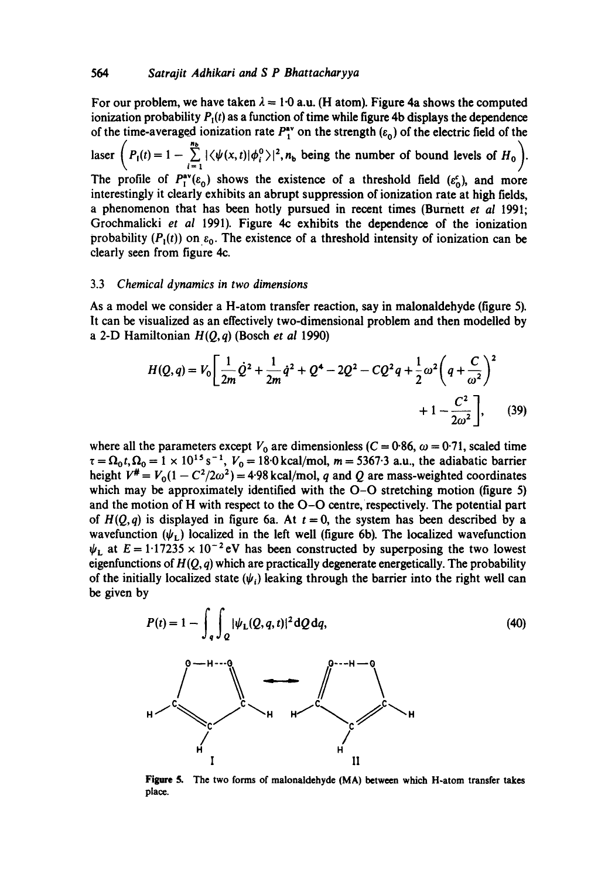For our problem, we have taken  $\lambda = 1.0$  a.u. (H atom). Figure 4a shows the computed ionization probability  $P_1(t)$  as a function of time while figure 4b displays the dependence of the time-averaged ionization rate  $P^{*v}$  on the strength  $(\varepsilon_0)$  of the electric field of the  $\sqrt{2}$  and  $\sqrt{2}$  and  $\sqrt{2}$  and  $\sqrt{2}$  and  $\sqrt{2}$  and  $\sqrt{2}$  and  $\sqrt{2}$ laser  $\left(P_1(t) = 1 - \sum_{i=1}^{n} |\langle \psi(x, t) | \phi_i^0 \rangle|^2, n_b$  being the number of bound levels of  $H_0$ . The profile of  $P_1^{av}(\varepsilon_0)$  shows the existence of a threshold field  $(\varepsilon_0^c)$ , and more interestingly it clearly exhibits an abrupt suppression of ionization rate at high fields, a phenomenon that has been hotly pursued in recent times (Burnett *et al* 1991; Grochmalicki *et ai* 1991). Figure 4c exhibits the dependence of the ionization probability  $(P_1(t))$  on  $\varepsilon_0$ . The existence of a threshold intensity of ionization can be clearly seen from figure 4c.

#### 3.3 *Chemical dynamics in two dimensions*

As a model we consider a H-atom transfer reaction, say in malonaldehyde (figure 5). It can be visualized as an effectively two-dimensional problem and then modelled by a 2-D Hamiltonian *H(Q, q)* (Bosch *et al* 1990)

$$
H(Q,q) = V_0 \left[ \frac{1}{2m} \dot{Q}^2 + \frac{1}{2m} \dot{q}^2 + Q^4 - 2Q^2 - CQ^2 q + \frac{1}{2} \omega^2 \left( q + \frac{C}{\omega^2} \right)^2 + 1 - \frac{C^2}{2\omega^2} \right],
$$
 (39)

where all the parameters except  $V_0$  are dimensionless (C = 0.86,  $\omega$  = 0.71, scaled time  $\tau = \Omega_0 t$ ,  $\Omega_0 = 1 \times 10^{15}$  s<sup>-1</sup>,  $V_0 = 18.0$  kcal/mol, m = 5367.3 a.u., the adiabatic barrier height  $V^{\#} = V_0(1 - C^2/2\omega^2) = 4.98$  kcal/mol, q and Q are mass-weighted coordinates which may be approximately identified with the O-O stretching motion (figure 5) and the motion of H with respect to the O-O centre, respectively. The potential part of  $H(Q,q)$  is displayed in figure 6a. At  $t = 0$ , the system has been described by a wavefunction  $(\psi_L)$  localized in the left well (figure 6b). The localized wavefunction  $\psi_L$  at  $E = 1.17235 \times 10^{-2}$  eV has been constructed by superposing the two lowest eigenfunctions of *H(Q, q)* which are practically degenerate energetically. The probability of the initially localized state  $(\psi_i)$  leaking through the barrier into the right well can be given by

$$
P(t) = 1 - \int_{q} \int_{Q} |\psi_{L}(Q, q, t)|^{2} dQ dq,
$$
\n(40)

Figure 5. The two forms of malonaldehyde (MA) between which H-atom transfer takes place.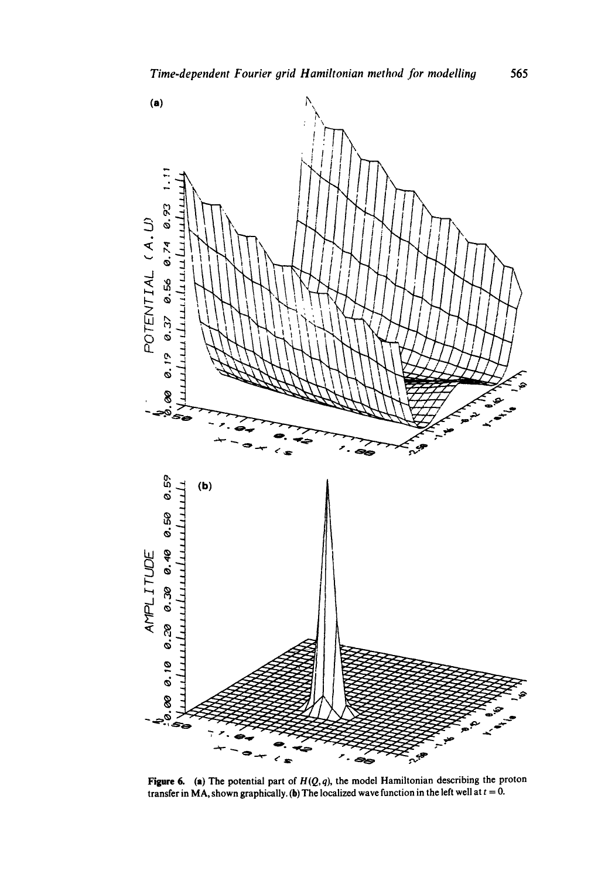

**Figure 6. (a) The potential part of** *H(Q, q),* **the model Hamiltonian describing the proton**  transfer in MA, shown graphically. (b) The localized wave function in the left well at  $t = 0$ .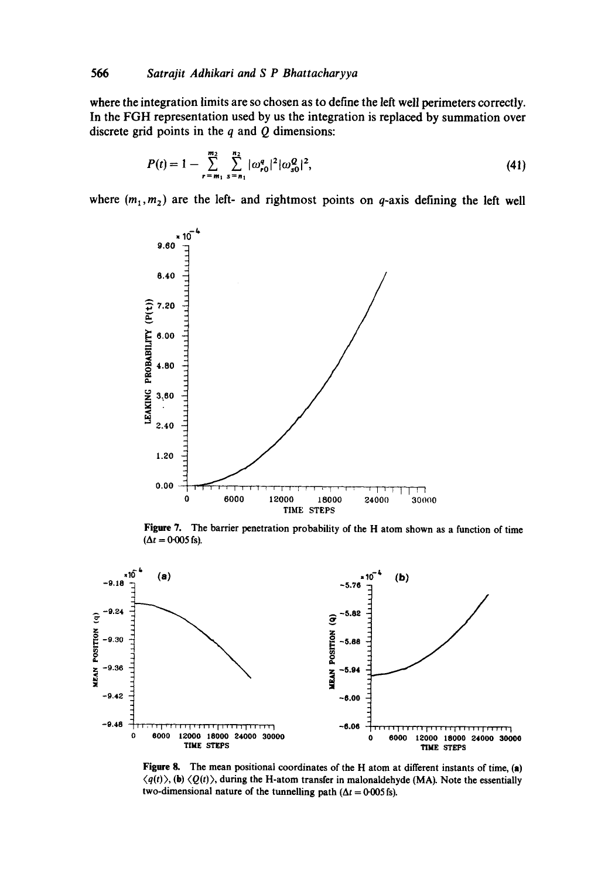**where the integration limits are so chosen as to define the left well perimeters correctly. In the FGH representation used by us the integration is replaced by summation over discrete grid points in the q and Q dimensions:** 

$$
P(t) = 1 - \sum_{r=m_1}^{m_2} \sum_{s=n_1}^{n_2} |\omega_{r0}^q|^2 |\omega_{s0}^Q|^2,
$$
 (41)

where  $(m_1, m_2)$  are the left- and rightmost points on q-axis defining the left well



Figure 7. The barrier penetration probability of the H atom shown as a function of time  $(\Delta t = 0.005 \text{ fs}).$ 



Figure 8. The mean positional coordinates of the H atom at different instants of time, (a)  $\langle q(t) \rangle$ , (b)  $\langle Q(t) \rangle$ , during the H-atom transfer in malonaldehyde (MA). Note the essentially two-dimensional nature of the tunnelling path ( $\Delta t = 0.005$  fs).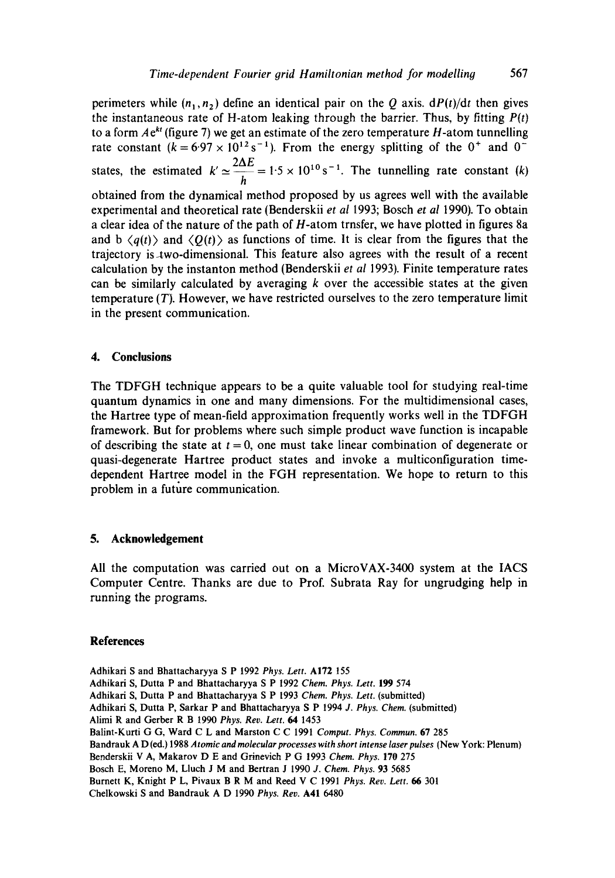perimeters while  $(n_1, n_2)$  define an identical pair on the Q axis.  $dP(t)/dt$  then gives the instantaneous rate of H-atom leaking through the barrier. Thus, by fitting *P(t)*  to a form  $Ae^{kt}$  (figure 7) we get an estimate of the zero temperature H-atom tunnelling rate constant  $(k=6.97 \times 10^{12} \text{ s}^{-1})$ . From the energy splitting of the 0<sup>+</sup> and 0<sup>-</sup> states, the estimated  $k' \approx \frac{2\Delta E}{I} = 1.5 \times 10^{10} \text{ s}^{-1}$ . The tunnelling rate constant (k) h obtained from the dynamical method proposed by us agrees well with the available experimental and theoretical rate (Benderskii *et al* 1993; Bosch *et al* 1990). To obtain a clear idea of the nature of the path of H-atom trnsfer, we have plotted in figures 8a and  $\mathbf{b} \langle q(t) \rangle$  and  $\langle Q(t) \rangle$  as functions of time. It is clear from the figures that the trajectory is-two-dimensional. This feature also agrees with the result of a recent calculation by the instanton method (Benderskii *et al* 1993). Finite temperature rates can be similarly calculated by averaging  $k$  over the accessible states at the given temperature (T). However, we have restricted ourselves to the zero temperature limit in the present communication.

### **4. Conclusions**

The TDFGH technique appears to be a quite valuable tool for studying real-time quantum dynamics in one and many dimensions. For the multidimensional cases, the Hartree type of mean-field approximation frequently works well in the TDFGH framework. But for problems where such simple product wave function is incapable of describing the state at  $t = 0$ , one must take linear combination of degenerate or quasi-degenerate Hartree product states and invoke a multiconfiguration timedependent Hartree model in the FGH representation. We hope to return to this problem in a future communication.

#### **5. Acknowledgement**

All the computation was carried out on a MicroVAX-3400 system at the IACS Computer Centre. Thanks are due to Prof. Subrata Ray for ungrudging help in running the programs.

### **References**

- Adhikari S and Bhattacharyya S P 1992 *Phys. Lett.* A172 155 Adhikari S, Dutta P and Bhattacharyya S P 1992 *Chem. Phys. Lett.* 199 574 Adhikari S, Dutta P and Bhattacharyya S P 1993 *Chem. Phys. Lett.* (submitted) Adhikari S, Dutta P, Sarkar P and Bhattacharyya S P 1994 *J. Phys. Chem.* (submitted) Alimi R and Gerber R B 1990 *Phys. Rev. Lett. 64* 1453
- Balint-Kurti G G, Ward C L and Marston C C 1991 *Comput. Phys. Commun.* 67 285
- Bandrauk A D (ed.) 1988 *Atomic and molecular processes with short intense laser pulses* (New York: Plenum)
- Benderskii V A, Makarov D E and Grinevich P G 1993 *Chem. Phys.* 170 275
- Bosch E, Moreno M, Lluch J M and Bertran J 1990 *J. Chem. Phys.* 93 5685
- Burnett K, Knight P L, Pivaux B R M and Reed V C 1991 *Phys. Rev. Lett. 66* 301

Chelkowski S and Bandrauk A D 1990 *Phys. Rev.* A41 6480